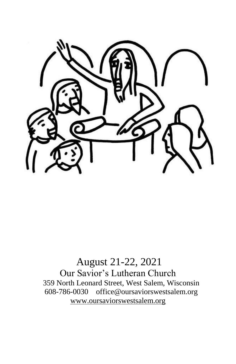

# August 21-22, 2021 Our Savior's Lutheran Church 359 North Leonard Street, West Salem, Wisconsin 608-786-0030 office@oursaviorswestsalem.org [www.oursaviorswestsalem.org](http://www.oursaviorswestsalem.org/)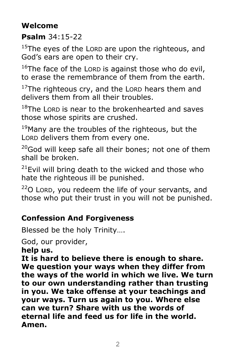# **Welcome**

## **Psalm** 34:15-22

 $15$ The eyes of the LORD are upon the righteous, and God's ears are open to their cry.

 $16$ The face of the LORD is against those who do evil, to erase the remembrance of them from the earth.

 $17$ The righteous cry, and the LORD hears them and delivers them from all their troubles.

 $18$ The LORD is near to the brokenhearted and saves those whose spirits are crushed.

 $19$ Many are the troubles of the righteous, but the LORD delivers them from every one.

 $20$ God will keep safe all their bones; not one of them shall be broken.

 $21$ Evil will bring death to the wicked and those who hate the righteous ill be punished.

 $22$ O LORD, you redeem the life of your servants, and those who put their trust in you will not be punished.

# **Confession And Forgiveness**

Blessed be the holy Trinity….

God, our provider,

**help us.**

**It is hard to believe there is enough to share. We question your ways when they differ from the ways of the world in which we live. We turn to our own understanding rather than trusting in you. We take offense at your teachings and your ways. Turn us again to you. Where else can we turn? Share with us the words of eternal life and feed us for life in the world. Amen.**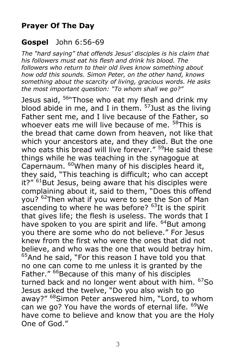## **Prayer Of The Day**

#### **Gospel** John 6:56-69

*The "hard saying" that offends Jesus' disciples is his claim that his followers must eat his flesh and drink his blood. The followers who return to their old lives know something about how odd this sounds. Simon Peter, on the other hand, knows something about the scarcity of living, gracious words. He asks the most important question: "To whom shall we go?"*

Jesus said, <sup>56</sup> Those who eat my flesh and drink my blood abide in me, and I in them.  $57$  Just as the living Father sent me, and I live because of the Father, so whoever eats me will live because of me. <sup>58</sup>This is the bread that came down from heaven, not like that which your ancestors ate, and they died. But the one who eats this bread will live forever." <sup>59</sup>He said these things while he was teaching in the synagogue at Capernaum. <sup>60</sup>When many of his disciples heard it, they said, "This teaching is difficult; who can accept it?" <sup>61</sup>But Jesus, being aware that his disciples were complaining about it, said to them, "Does this offend you? <sup>62</sup>Then what if you were to see the Son of Man ascending to where he was before?  $63$ It is the spirit that gives life; the flesh is useless. The words that I have spoken to you are spirit and life. <sup>64</sup>But among you there are some who do not believe." For Jesus knew from the first who were the ones that did not believe, and who was the one that would betray him. <sup>65</sup>And he said, "For this reason I have told you that no one can come to me unless it is granted by the Father." <sup>66</sup>Because of this many of his disciples turned back and no longer went about with him. <sup>67</sup>So Jesus asked the twelve, "Do you also wish to go away?" <sup>68</sup>Simon Peter answered him, "Lord, to whom can we go? You have the words of eternal life. <sup>69</sup>We have come to believe and know that you are the Holy One of God."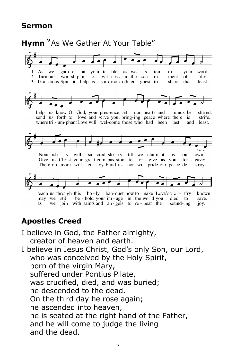#### **Sermon**



# **Apostles Creed**

I believe in God, the Father almighty, creator of heaven and earth. I believe in Jesus Christ, God's only Son, our Lord, who was conceived by the Holy Spirit, born of the virgin Mary, suffered under Pontius Pilate, was crucified, died, and was buried; he descended to the dead. On the third day he rose again; he ascended into heaven, he is seated at the right hand of the Father, and he will come to judge the living and the dead.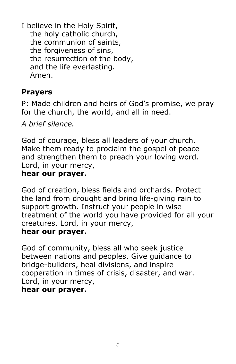I believe in the Holy Spirit, the holy catholic church, the communion of saints, the forgiveness of sins, the resurrection of the body, and the life everlasting. Amen.

## **Prayers**

P: Made children and heirs of God's promise, we pray for the church, the world, and all in need.

*A brief silence.*

God of courage, bless all leaders of your church. Make them ready to proclaim the gospel of peace and strengthen them to preach your loving word. Lord, in your mercy,

## **hear our prayer.**

God of creation, bless fields and orchards. Protect the land from drought and bring life-giving rain to support growth. Instruct your people in wise treatment of the world you have provided for all your creatures. Lord, in your mercy,

#### **hear our prayer.**

God of community, bless all who seek justice between nations and peoples. Give guidance to bridge-builders, heal divisions, and inspire cooperation in times of crisis, disaster, and war. Lord, in your mercy, **hear our prayer.**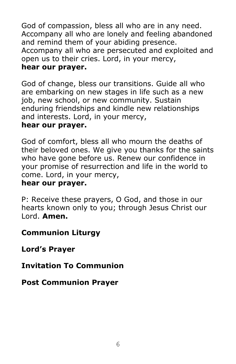God of compassion, bless all who are in any need. Accompany all who are lonely and feeling abandoned and remind them of your abiding presence. Accompany all who are persecuted and exploited and open us to their cries. Lord, in your mercy, **hear our prayer.**

God of change, bless our transitions. Guide all who are embarking on new stages in life such as a new job, new school, or new community. Sustain enduring friendships and kindle new relationships and interests. Lord, in your mercy, **hear our prayer.**

God of comfort, bless all who mourn the deaths of their beloved ones. We give you thanks for the saints who have gone before us. Renew our confidence in your promise of resurrection and life in the world to come. Lord, in your mercy, **hear our prayer.**

P: Receive these prayers, O God, and those in our hearts known only to you; through Jesus Christ our Lord. **Amen.**

**Communion Liturgy**

**Lord's Prayer**

**Invitation To Communion**

**Post Communion Prayer**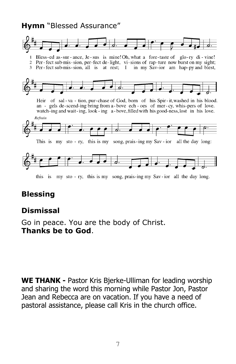### **Hymn** "Blessed Assurance"



## **Blessing**

## **Dismissal**

Go in peace. You are the body of Christ. **Thanks be to God**.

**WE THANK -** Pastor Kris Bjerke-Ulliman for leading worship and sharing the word this morning while Pastor Jon, Pastor Jean and Rebecca are on vacation. If you have a need of pastoral assistance, please call Kris in the church office.